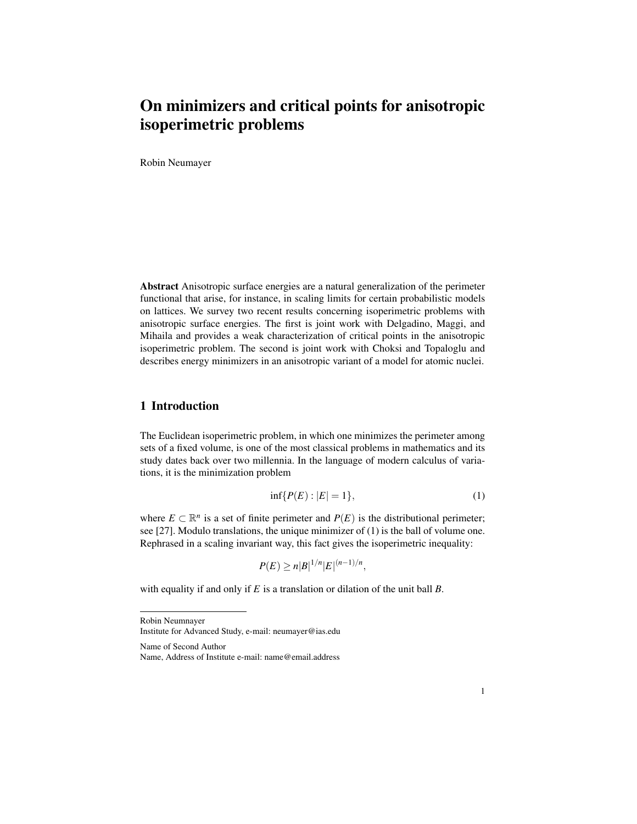# On minimizers and critical points for anisotropic isoperimetric problems

Robin Neumayer

Abstract Anisotropic surface energies are a natural generalization of the perimeter functional that arise, for instance, in scaling limits for certain probabilistic models on lattices. We survey two recent results concerning isoperimetric problems with anisotropic surface energies. The first is joint work with Delgadino, Maggi, and Mihaila and provides a weak characterization of critical points in the anisotropic isoperimetric problem. The second is joint work with Choksi and Topaloglu and describes energy minimizers in an anisotropic variant of a model for atomic nuclei.

## 1 Introduction

The Euclidean isoperimetric problem, in which one minimizes the perimeter among sets of a fixed volume, is one of the most classical problems in mathematics and its study dates back over two millennia. In the language of modern calculus of variations, it is the minimization problem

$$
\inf\{P(E): |E| = 1\},\tag{1}
$$

where  $E \subset \mathbb{R}^n$  is a set of finite perimeter and  $P(E)$  is the distributional perimeter; see [27]. Modulo translations, the unique minimizer of (1) is the ball of volume one. Rephrased in a scaling invariant way, this fact gives the isoperimetric inequality:

$$
P(E) \ge n|B|^{1/n}|E|^{(n-1)/n},
$$

with equality if and only if *E* is a translation or dilation of the unit ball *B*.

Robin Neumnayer Institute for Advanced Study, e-mail: neumayer@ias.edu

Name of Second Author Name, Address of Institute e-mail: name@email.address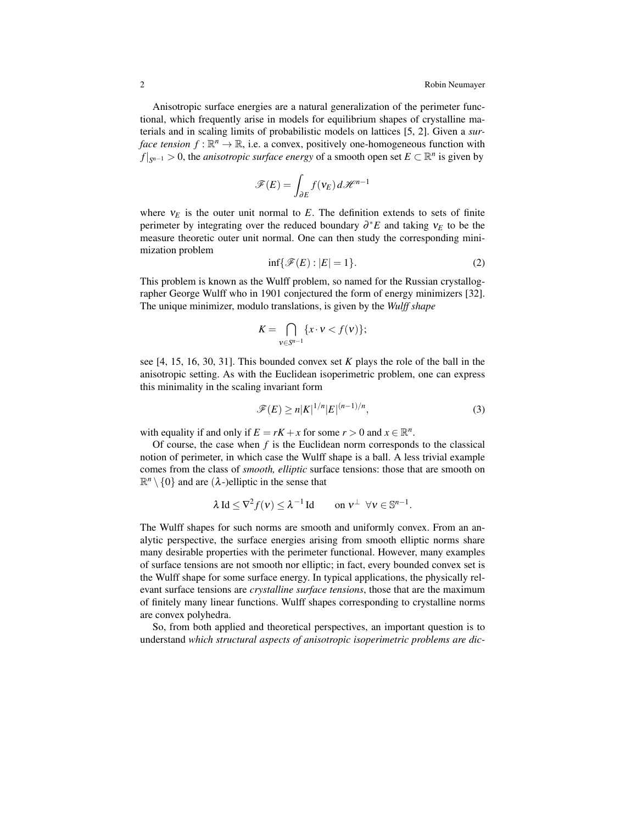Anisotropic surface energies are a natural generalization of the perimeter functional, which frequently arise in models for equilibrium shapes of crystalline materials and in scaling limits of probabilistic models on lattices [5, 2]. Given a *surface tension*  $f : \mathbb{R}^n \to \mathbb{R}$ , i.e. a convex, positively one-homogeneous function with *f*  $|_{S^{n-1}}$  > 0, the *anisotropic surface energy* of a smooth open set *E* ⊂  $\mathbb{R}^n$  is given by

$$
\mathscr{F}(E) = \int_{\partial E} f(\mathsf{v}_E) \, d\mathscr{H}^{n-1}
$$

where  $v_E$  is the outer unit normal to  $E$ . The definition extends to sets of finite perimeter by integrating over the reduced boundary ∂ <sup>∗</sup>*E* and taking ν*<sup>E</sup>* to be the measure theoretic outer unit normal. One can then study the corresponding minimization problem

$$
\inf\{\mathcal{F}(E):|E|=1\}.\tag{2}
$$

This problem is known as the Wulff problem, so named for the Russian crystallographer George Wulff who in 1901 conjectured the form of energy minimizers [32]. The unique minimizer, modulo translations, is given by the *Wulff shape*

$$
K=\bigcap_{v\in S^{n-1}}\{x\cdot v
$$

see [4, 15, 16, 30, 31]. This bounded convex set *K* plays the role of the ball in the anisotropic setting. As with the Euclidean isoperimetric problem, one can express this minimality in the scaling invariant form

$$
\mathscr{F}(E) \ge n|K|^{1/n}|E|^{(n-1)/n},\tag{3}
$$

with equality if and only if  $E = rK + x$  for some  $r > 0$  and  $x \in \mathbb{R}^n$ .

Of course, the case when *f* is the Euclidean norm corresponds to the classical notion of perimeter, in which case the Wulff shape is a ball. A less trivial example comes from the class of *smooth, elliptic* surface tensions: those that are smooth on  $\mathbb{R}^n \setminus \{0\}$  and are  $(\lambda)$ -)elliptic in the sense that

$$
\lambda \operatorname{Id} \leq \nabla^2 f(v) \leq \lambda^{-1} \operatorname{Id} \qquad \text{on } v^{\perp} \ \forall v \in \mathbb{S}^{n-1}.
$$

The Wulff shapes for such norms are smooth and uniformly convex. From an analytic perspective, the surface energies arising from smooth elliptic norms share many desirable properties with the perimeter functional. However, many examples of surface tensions are not smooth nor elliptic; in fact, every bounded convex set is the Wulff shape for some surface energy. In typical applications, the physically relevant surface tensions are *crystalline surface tensions*, those that are the maximum of finitely many linear functions. Wulff shapes corresponding to crystalline norms are convex polyhedra.

So, from both applied and theoretical perspectives, an important question is to understand *which structural aspects of anisotropic isoperimetric problems are dic-*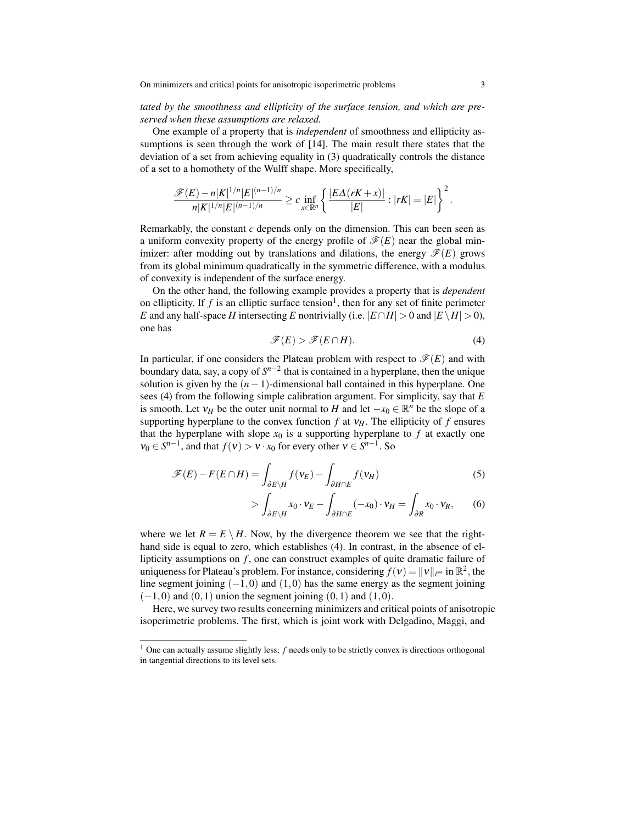#### *tated by the smoothness and ellipticity of the surface tension, and which are preserved when these assumptions are relaxed.*

One example of a property that is *independent* of smoothness and ellipticity assumptions is seen through the work of [14]. The main result there states that the deviation of a set from achieving equality in (3) quadratically controls the distance of a set to a homothety of the Wulff shape. More specifically,

$$
\frac{\mathscr{F}(E)-n|K|^{1/n}|E|^{(n-1)/n}}{n|K|^{1/n}|E|^{(n-1)/n}}\geq c\inf_{x\in\mathbb{R}^n}\left\{\frac{|E\Delta(rK+x)|}{|E|}:|rK|=|E|\right\}^2.
$$

Remarkably, the constant *c* depends only on the dimension. This can been seen as a uniform convexity property of the energy profile of  $\mathcal{F}(E)$  near the global minimizer: after modding out by translations and dilations, the energy  $\mathscr{F}(E)$  grows from its global minimum quadratically in the symmetric difference, with a modulus of convexity is independent of the surface energy.

On the other hand, the following example provides a property that is *dependent* on ellipticity. If  $f$  is an elliptic surface tension<sup>1</sup>, then for any set of finite perimeter *E* and any half-space *H* intersecting *E* nontrivially (i.e.  $|E \cap H| > 0$  and  $|E \setminus H| > 0$ ), one has

$$
\mathscr{F}(E) > \mathscr{F}(E \cap H). \tag{4}
$$

In particular, if one considers the Plateau problem with respect to  $\mathcal{F}(E)$  and with boundary data, say, a copy of *S n*−2 that is contained in a hyperplane, then the unique solution is given by the  $(n-1)$ -dimensional ball contained in this hyperplane. One sees (4) from the following simple calibration argument. For simplicity, say that *E* is smooth. Let  $v_H$  be the outer unit normal to *H* and let  $-x_0 \in \mathbb{R}^n$  be the slope of a supporting hyperplane to the convex function  $f$  at  $v_H$ . The ellipticity of  $f$  ensures that the hyperplane with slope  $x_0$  is a supporting hyperplane to  $f$  at exactly one  $v_0 \in S^{n-1}$ , and that  $f(v) > v \cdot x_0$  for every other  $v \in S^{n-1}$ . So

$$
\mathscr{F}(E) - F(E \cap H) = \int_{\partial E \backslash H} f(\mathsf{v}_E) - \int_{\partial H \cap E} f(\mathsf{v}_H)
$$
(5)

$$
> \int_{\partial E \backslash H} x_0 \cdot v_E - \int_{\partial H \cap E} (-x_0) \cdot v_H = \int_{\partial R} x_0 \cdot v_R, \qquad (6)
$$

where we let  $R = E \setminus H$ . Now, by the divergence theorem we see that the righthand side is equal to zero, which establishes (4). In contrast, in the absence of ellipticity assumptions on *f* , one can construct examples of quite dramatic failure of uniqueness for Plateau's problem. For instance, considering  $f(v) = ||v||_{\ell^{\infty}}$  in  $\mathbb{R}^2$ , the line segment joining  $(-1,0)$  and  $(1,0)$  has the same energy as the segment joining  $(-1,0)$  and  $(0,1)$  union the segment joining  $(0,1)$  and  $(1,0)$ .

Here, we survey two results concerning minimizers and critical points of anisotropic isoperimetric problems. The first, which is joint work with Delgadino, Maggi, and

<sup>&</sup>lt;sup>1</sup> One can actually assume slightly less; *f* needs only to be strictly convex is directions orthogonal in tangential directions to its level sets.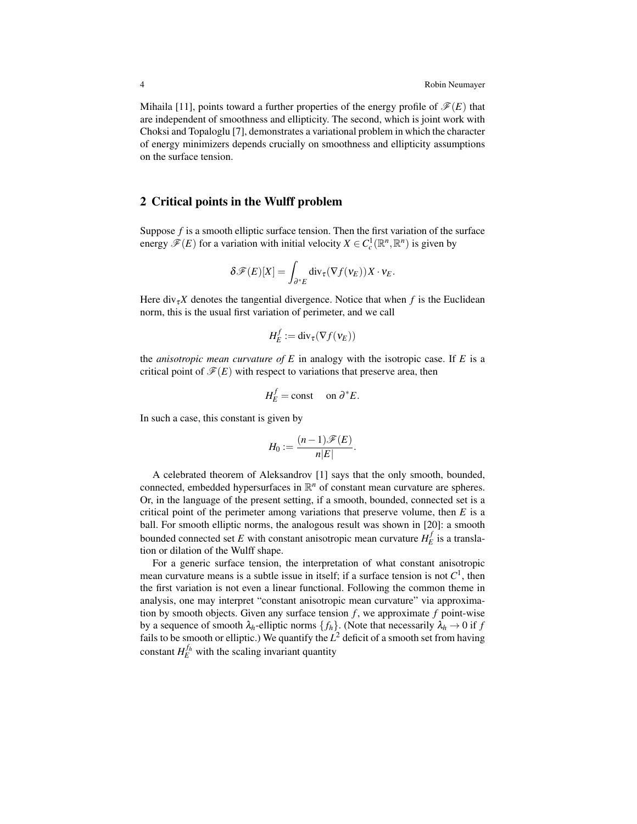Mihaila [11], points toward a further properties of the energy profile of  $\mathscr{F}(E)$  that are independent of smoothness and ellipticity. The second, which is joint work with Choksi and Topaloglu [7], demonstrates a variational problem in which the character of energy minimizers depends crucially on smoothness and ellipticity assumptions on the surface tension.

### 2 Critical points in the Wulff problem

Suppose *f* is a smooth elliptic surface tension. Then the first variation of the surface energy  $\mathscr{F}(E)$  for a variation with initial velocity  $X \in C_c^1(\mathbb{R}^n, \mathbb{R}^n)$  is given by

$$
\delta \mathscr{F}(E)[X] = \int_{\partial^* E} \text{div}_{\tau}(\nabla f(\mathsf{v}_E)) X \cdot \mathsf{v}_E.
$$

Here div<sub> $\tau$ </sub>X denotes the tangential divergence. Notice that when  $f$  is the Euclidean norm, this is the usual first variation of perimeter, and we call

$$
H_E^f := \mathrm{div}_{\tau}(\nabla f(v_E))
$$

the *anisotropic mean curvature of E* in analogy with the isotropic case. If *E* is a critical point of  $\mathcal{F}(E)$  with respect to variations that preserve area, then

$$
H_E^f = \text{const} \quad \text{on } \partial^* E.
$$

In such a case, this constant is given by

$$
H_0 := \frac{(n-1)\mathscr{F}(E)}{n|E|}.
$$

A celebrated theorem of Aleksandrov [1] says that the only smooth, bounded, connected, embedded hypersurfaces in  $\mathbb{R}^n$  of constant mean curvature are spheres. Or, in the language of the present setting, if a smooth, bounded, connected set is a critical point of the perimeter among variations that preserve volume, then *E* is a ball. For smooth elliptic norms, the analogous result was shown in [20]: a smooth bounded connected set *E* with constant anisotropic mean curvature  $H_E^f$  is a translation or dilation of the Wulff shape.

For a generic surface tension, the interpretation of what constant anisotropic mean curvature means is a subtle issue in itself; if a surface tension is not  $C^1$ , then the first variation is not even a linear functional. Following the common theme in analysis, one may interpret "constant anisotropic mean curvature" via approximation by smooth objects. Given any surface tension  $f$ , we approximate  $f$  point-wise by a sequence of smooth  $\lambda_h$ -elliptic norms  $\{f_h\}$ . (Note that necessarily  $\lambda_h \to 0$  if  $f$ fails to be smooth or elliptic.) We quantify the  $L^2$  deficit of a smooth set from having constant  $H_E^{f_h}$  with the scaling invariant quantity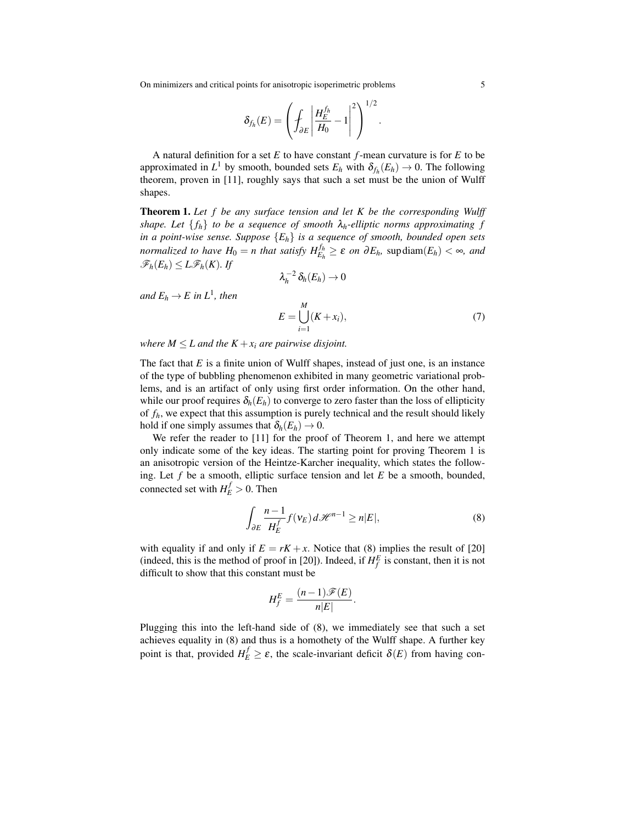On minimizers and critical points for anisotropic isoperimetric problems 5

$$
\delta_{f_h}(E) = \left(\int_{\partial E} \left| \frac{H_E^{f_h}}{H_0} - 1 \right|^2 \right)^{1/2}.
$$

A natural definition for a set *E* to have constant *f*-mean curvature is for *E* to be approximated in  $L^1$  by smooth, bounded sets  $E_h$  with  $\delta_{f_h}(E_h) \to 0$ . The following theorem, proven in [11], roughly says that such a set must be the union of Wulff shapes.

Theorem 1. *Let f be any surface tension and let K be the corresponding Wulff shape. Let*  $\{f_h\}$  *to be a sequence of smooth*  $\lambda_h$ -elliptic norms approximating f *in a point-wise sense. Suppose* {*Eh*} *is a sequence of smooth, bounded open sets normalized to have*  $H_0 = n$  *that satisfy*  $H_{E_h}^{f_h} \geq \varepsilon$  *on*  $\partial E_h$ *,* sup diam $(E_h) < \infty$ *, and*  $\mathscr{F}_h(E_h) \leq L\mathscr{F}_h(K)$ *.* If

$$
\lambda_h^{-2}\,\delta_h(E_h)\to 0
$$

 $and E_h \rightarrow E$  in  $L^1$ , then

$$
E = \bigcup_{i=1}^{M} (K + x_i),\tag{7}
$$

*where*  $M \leq L$  *and the*  $K + x_i$  *are pairwise disjoint.* 

The fact that *E* is a finite union of Wulff shapes, instead of just one, is an instance of the type of bubbling phenomenon exhibited in many geometric variational problems, and is an artifact of only using first order information. On the other hand, while our proof requires  $\delta_h(E_h)$  to converge to zero faster than the loss of ellipticity of  $f_h$ , we expect that this assumption is purely technical and the result should likely hold if one simply assumes that  $\delta_h(E_h) \to 0$ .

We refer the reader to [11] for the proof of Theorem 1, and here we attempt only indicate some of the key ideas. The starting point for proving Theorem 1 is an anisotropic version of the Heintze-Karcher inequality, which states the following. Let *f* be a smooth, elliptic surface tension and let *E* be a smooth, bounded, connected set with  $H_E^f > 0$ . Then

$$
\int_{\partial E} \frac{n-1}{H_E^f} f(\mathbf{v}_E) d\mathcal{H}^{n-1} \ge n|E|,
$$
\n(8)

with equality if and only if  $E = rK + x$ . Notice that (8) implies the result of [20] (indeed, this is the method of proof in [20]). Indeed, if  $H_f^E$  is constant, then it is not difficult to show that this constant must be

$$
H_f^E = \frac{(n-1)\mathscr{F}(E)}{n|E|}.
$$

Plugging this into the left-hand side of (8), we immediately see that such a set achieves equality in (8) and thus is a homothety of the Wulff shape. A further key point is that, provided  $H_E^f \ge \varepsilon$ , the scale-invariant deficit  $\delta(E)$  from having con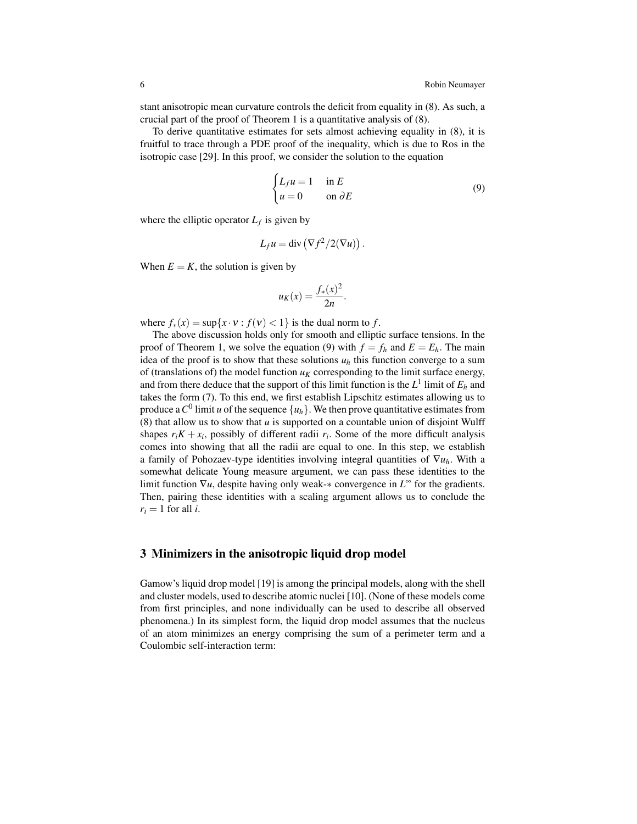stant anisotropic mean curvature controls the deficit from equality in (8). As such, a crucial part of the proof of Theorem 1 is a quantitative analysis of (8).

To derive quantitative estimates for sets almost achieving equality in (8), it is fruitful to trace through a PDE proof of the inequality, which is due to Ros in the isotropic case [29]. In this proof, we consider the solution to the equation

$$
\begin{cases} L_f u = 1 & \text{in } E \\ u = 0 & \text{on } \partial E \end{cases}
$$
 (9)

where the elliptic operator  $L_f$  is given by

$$
L_f u = \text{div}\left(\nabla f^2/2(\nabla u)\right).
$$

When  $E = K$ , the solution is given by

$$
u_K(x) = \frac{f_*(x)^2}{2n}.
$$

where  $f_*(x) = \sup\{x \cdot v : f(v) < 1\}$  is the dual norm to *f*.

The above discussion holds only for smooth and elliptic surface tensions. In the proof of Theorem 1, we solve the equation (9) with  $f = f_h$  and  $E = E_h$ . The main idea of the proof is to show that these solutions  $u_h$  this function converge to a sum of (translations of) the model function  $u_K$  corresponding to the limit surface energy, and from there deduce that the support of this limit function is the  $L^1$  limit of  $E_h$  and takes the form (7). To this end, we first establish Lipschitz estimates allowing us to produce a  $C^0$  limit *u* of the sequence  $\{u_h\}$ . We then prove quantitative estimates from (8) that allow us to show that *u* is supported on a countable union of disjoint Wulff shapes  $r_i K + x_i$ , possibly of different radii  $r_i$ . Some of the more difficult analysis comes into showing that all the radii are equal to one. In this step, we establish a family of Pohozaev-type identities involving integral quantities of ∇*uh*. With a somewhat delicate Young measure argument, we can pass these identities to the limit function ∇*u*, despite having only weak-∗ convergence in *L* <sup>∞</sup> for the gradients. Then, pairing these identities with a scaling argument allows us to conclude the  $r_i = 1$  for all *i*.

## 3 Minimizers in the anisotropic liquid drop model

Gamow's liquid drop model [19] is among the principal models, along with the shell and cluster models, used to describe atomic nuclei [10]. (None of these models come from first principles, and none individually can be used to describe all observed phenomena.) In its simplest form, the liquid drop model assumes that the nucleus of an atom minimizes an energy comprising the sum of a perimeter term and a Coulombic self-interaction term: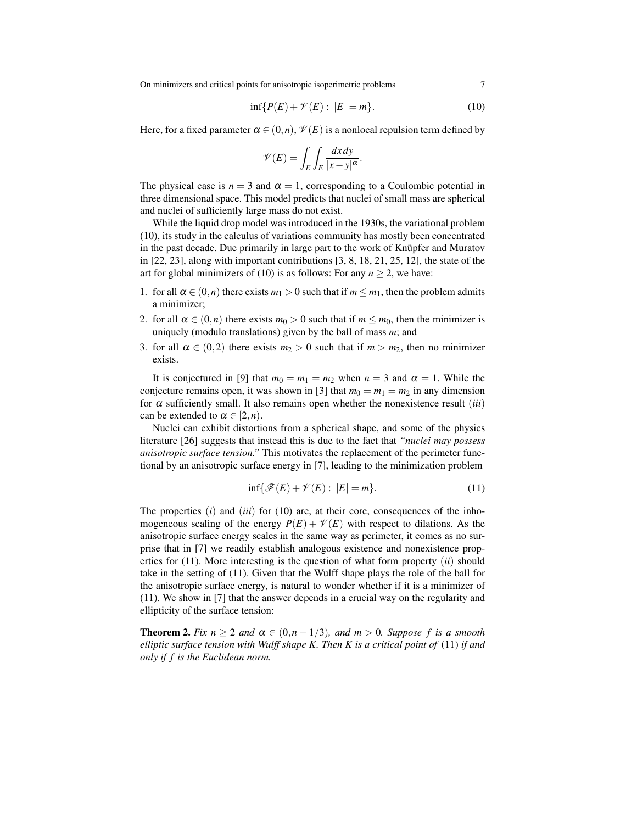On minimizers and critical points for anisotropic isoperimetric problems 7

$$
\inf\{P(E) + \mathscr{V}(E) : |E| = m\}.
$$
 (10)

Here, for a fixed parameter  $\alpha \in (0, n)$ ,  $\mathcal{V}(E)$  is a nonlocal repulsion term defined by

$$
\mathscr{V}(E) = \int_E \int_E \frac{dx \, dy}{|x - y|^{\alpha}}.
$$

The physical case is  $n = 3$  and  $\alpha = 1$ , corresponding to a Coulombic potential in three dimensional space. This model predicts that nuclei of small mass are spherical and nuclei of sufficiently large mass do not exist.

While the liquid drop model was introduced in the 1930s, the variational problem (10), its study in the calculus of variations community has mostly been concentrated in the past decade. Due primarily in large part to the work of Knüpfer and Muratov in  $[22, 23]$ , along with important contributions  $[3, 8, 18, 21, 25, 12]$ , the state of the art for global minimizers of (10) is as follows: For any  $n \ge 2$ , we have:

- 1. for all  $\alpha \in (0, n)$  there exists  $m_1 > 0$  such that if  $m \leq m_1$ , then the problem admits a minimizer;
- 2. for all  $\alpha \in (0,n)$  there exists  $m_0 > 0$  such that if  $m \le m_0$ , then the minimizer is uniquely (modulo translations) given by the ball of mass *m*; and
- 3. for all  $\alpha \in (0,2)$  there exists  $m_2 > 0$  such that if  $m > m_2$ , then no minimizer exists.

It is conjectured in [9] that  $m_0 = m_1 = m_2$  when  $n = 3$  and  $\alpha = 1$ . While the conjecture remains open, it was shown in [3] that  $m_0 = m_1 = m_2$  in any dimension for  $\alpha$  sufficiently small. It also remains open whether the nonexistence result (*iii*) can be extended to  $\alpha \in [2, n)$ .

Nuclei can exhibit distortions from a spherical shape, and some of the physics literature [26] suggests that instead this is due to the fact that *"nuclei may possess anisotropic surface tension."* This motivates the replacement of the perimeter functional by an anisotropic surface energy in [7], leading to the minimization problem

$$
\inf\{\mathcal{F}(E) + \mathcal{V}(E) : |E| = m\}.
$$
\n(11)

The properties  $(i)$  and  $(iii)$  for  $(10)$  are, at their core, consequences of the inhomogeneous scaling of the energy  $P(E) + \mathcal{V}(E)$  with respect to dilations. As the anisotropic surface energy scales in the same way as perimeter, it comes as no surprise that in [7] we readily establish analogous existence and nonexistence properties for (11). More interesting is the question of what form property (*ii*) should take in the setting of (11). Given that the Wulff shape plays the role of the ball for the anisotropic surface energy, is natural to wonder whether if it is a minimizer of (11). We show in [7] that the answer depends in a crucial way on the regularity and ellipticity of the surface tension:

**Theorem 2.** *Fix*  $n \geq 2$  *and*  $\alpha \in (0, n-1/3)$ *, and*  $m > 0$ *. Suppose f is a smooth elliptic surface tension with Wulff shape K. Then K is a critical point of* (11) *if and only if f is the Euclidean norm.*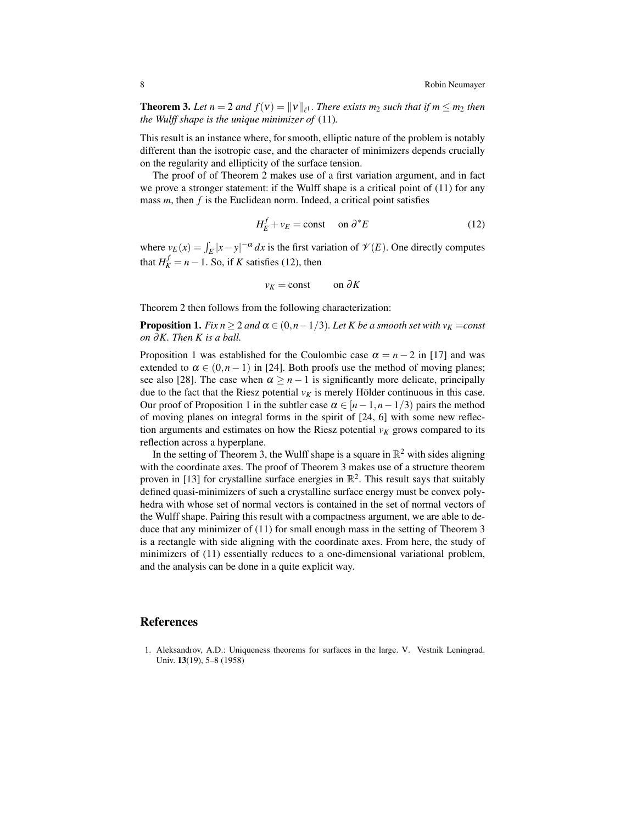**Theorem 3.** Let  $n = 2$  and  $f(v) = ||v||_{\ell^1}$ . There exists  $m_2$  such that if  $m \leq m_2$  then *the Wulff shape is the unique minimizer of* (11)*.*

This result is an instance where, for smooth, elliptic nature of the problem is notably different than the isotropic case, and the character of minimizers depends crucially on the regularity and ellipticity of the surface tension.

The proof of of Theorem 2 makes use of a first variation argument, and in fact we prove a stronger statement: if the Wulff shape is a critical point of (11) for any mass *m*, then *f* is the Euclidean norm. Indeed, a critical point satisfies

$$
H_E^f + v_E = \text{const} \quad \text{on } \partial^* E \tag{12}
$$

where  $v_E(x) = \int_E |x - y|^{-\alpha} dx$  is the first variation of  $\mathcal{V}(E)$ . One directly computes that  $H_K^f = n - 1$ . So, if *K* satisfies (12), then

$$
v_K = \text{const} \qquad \text{on } \partial K
$$

Theorem 2 then follows from the following characterization:

**Proposition 1.** *Fix n*  $\geq$  2 *and*  $\alpha \in (0, n-1/3)$ *. Let K be a smooth set with*  $v_K = const$ *on* ∂*K. Then K is a ball.*

Proposition 1 was established for the Coulombic case  $\alpha = n - 2$  in [17] and was extended to  $\alpha \in (0, n-1)$  in [24]. Both proofs use the method of moving planes; see also [28]. The case when  $\alpha \geq n-1$  is significantly more delicate, principally due to the fact that the Riesz potential  $v_K$  is merely Hölder continuous in this case. Our proof of Proposition 1 in the subtler case  $\alpha \in [n-1,n-1/3)$  pairs the method of moving planes on integral forms in the spirit of [24, 6] with some new reflection arguments and estimates on how the Riesz potential  $v_K$  grows compared to its reflection across a hyperplane.

In the setting of Theorem 3, the Wulff shape is a square in  $\mathbb{R}^2$  with sides aligning with the coordinate axes. The proof of Theorem 3 makes use of a structure theorem proven in [13] for crystalline surface energies in  $\mathbb{R}^2$ . This result says that suitably defined quasi-minimizers of such a crystalline surface energy must be convex polyhedra with whose set of normal vectors is contained in the set of normal vectors of the Wulff shape. Pairing this result with a compactness argument, we are able to deduce that any minimizer of (11) for small enough mass in the setting of Theorem 3 is a rectangle with side aligning with the coordinate axes. From here, the study of minimizers of (11) essentially reduces to a one-dimensional variational problem, and the analysis can be done in a quite explicit way.

#### References

1. Aleksandrov, A.D.: Uniqueness theorems for surfaces in the large. V. Vestnik Leningrad. Univ. 13(19), 5–8 (1958)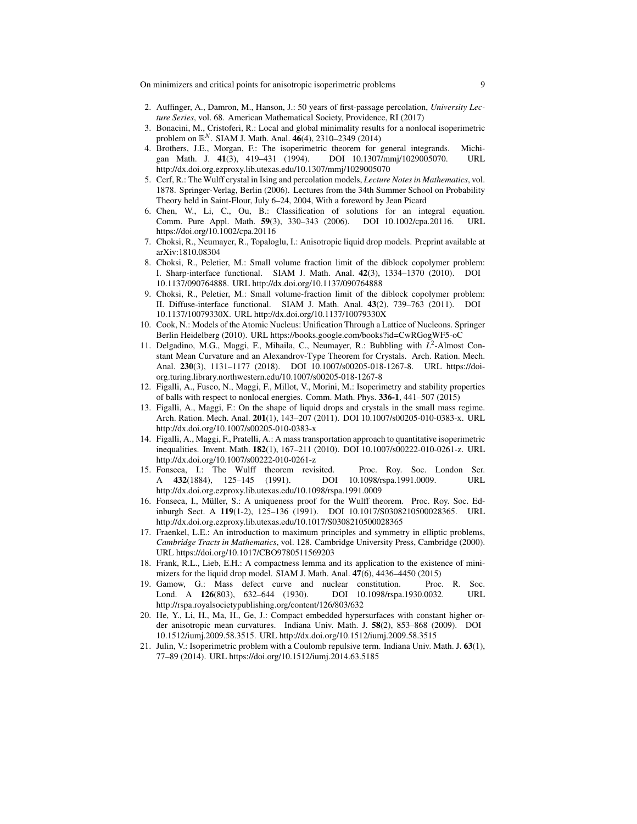On minimizers and critical points for anisotropic isoperimetric problems 9

- 2. Auffinger, A., Damron, M., Hanson, J.: 50 years of first-passage percolation, *University Lecture Series*, vol. 68. American Mathematical Society, Providence, RI (2017)
- 3. Bonacini, M., Cristoferi, R.: Local and global minimality results for a nonlocal isoperimetric problem on  $\mathbb{R}^N$ . SIAM J. Math. Anal. 46(4), 2310–2349 (2014)
- 4. Brothers, J.E., Morgan, F.: The isoperimetric theorem for general integrands. Michigan Math. J. 41(3), 419–431 (1994). DOI 10.1307/mmj/1029005070. URL gan Math. J. 41(3), 419–431 (1994). DOI 10.1307/mmj/1029005070. URL http://dx.doi.org.ezproxy.lib.utexas.edu/10.1307/mmj/1029005070
- 5. Cerf, R.: The Wulff crystal in Ising and percolation models, *Lecture Notes in Mathematics*, vol. 1878. Springer-Verlag, Berlin (2006). Lectures from the 34th Summer School on Probability Theory held in Saint-Flour, July 6–24, 2004, With a foreword by Jean Picard
- 6. Chen, W., Li, C., Ou, B.: Classification of solutions for an integral equation. Comm. Pure Appl. Math. 59(3), 330–343 (2006). DOI 10.1002/cpa.20116. URL https://doi.org/10.1002/cpa.20116
- 7. Choksi, R., Neumayer, R., Topaloglu, I.: Anisotropic liquid drop models. Preprint available at arXiv:1810.08304
- 8. Choksi, R., Peletier, M.: Small volume fraction limit of the diblock copolymer problem: I. Sharp-interface functional. SIAM J. Math. Anal. 42(3), 1334–1370 (2010). DOI 10.1137/090764888. URL http://dx.doi.org/10.1137/090764888
- 9. Choksi, R., Peletier, M.: Small volume-fraction limit of the diblock copolymer problem: II. Diffuse-interface functional. SIAM J. Math. Anal. 43(2), 739–763 (2011). DOI 10.1137/10079330X. URL http://dx.doi.org/10.1137/10079330X
- 10. Cook, N.: Models of the Atomic Nucleus: Unification Through a Lattice of Nucleons. Springer Berlin Heidelberg (2010). URL https://books.google.com/books?id=CwRGogWF5-oC
- 11. Delgadino, M.G., Maggi, F., Mihaila, C., Neumayer, R.: Bubbling with L<sup>2</sup>-Almost Constant Mean Curvature and an Alexandrov-Type Theorem for Crystals. Arch. Ration. Mech. Anal. 230(3), 1131–1177 (2018). DOI 10.1007/s00205-018-1267-8. URL https://doiorg.turing.library.northwestern.edu/10.1007/s00205-018-1267-8
- 12. Figalli, A., Fusco, N., Maggi, F., Millot, V., Morini, M.: Isoperimetry and stability properties of balls with respect to nonlocal energies. Comm. Math. Phys. 336-1, 441–507 (2015)
- 13. Figalli, A., Maggi, F.: On the shape of liquid drops and crystals in the small mass regime. Arch. Ration. Mech. Anal. 201(1), 143–207 (2011). DOI 10.1007/s00205-010-0383-x. URL http://dx.doi.org/10.1007/s00205-010-0383-x
- 14. Figalli, A., Maggi, F., Pratelli, A.: A mass transportation approach to quantitative isoperimetric inequalities. Invent. Math. 182(1), 167–211 (2010). DOI 10.1007/s00222-010-0261-z. URL http://dx.doi.org/10.1007/s00222-010-0261-z
- 15. Fonseca, I.: The Wulff theorem revisited. Proc. Roy. Soc. London Ser. A 432(1884), 125-145 (1991). DOI 10.1098/rspa.1991.0009. URL http://dx.doi.org.ezproxy.lib.utexas.edu/10.1098/rspa.1991.0009
- 16. Fonseca, I., Müller, S.: A uniqueness proof for the Wulff theorem. Proc. Roy. Soc. Edinburgh Sect. A 119(1-2), 125–136 (1991). DOI 10.1017/S0308210500028365. URL http://dx.doi.org.ezproxy.lib.utexas.edu/10.1017/S0308210500028365
- 17. Fraenkel, L.E.: An introduction to maximum principles and symmetry in elliptic problems, *Cambridge Tracts in Mathematics*, vol. 128. Cambridge University Press, Cambridge (2000). URL https://doi.org/10.1017/CBO9780511569203
- 18. Frank, R.L., Lieb, E.H.: A compactness lemma and its application to the existence of minimizers for the liquid drop model. SIAM J. Math. Anal. 47(6), 4436–4450 (2015)
- 19. Gamow, G.: Mass defect curve and nuclear constitution. Proc. R. Soc. Lond. A 126(803), 632–644 (1930). DOI 10.1098/rspa.1930.0032. URL http://rspa.royalsocietypublishing.org/content/126/803/632
- 20. He, Y., Li, H., Ma, H., Ge, J.: Compact embedded hypersurfaces with constant higher order anisotropic mean curvatures. Indiana Univ. Math. J. 58(2), 853–868 (2009). DOI 10.1512/iumj.2009.58.3515. URL http://dx.doi.org/10.1512/iumj.2009.58.3515
- 21. Julin, V.: Isoperimetric problem with a Coulomb repulsive term. Indiana Univ. Math. J. 63(1), 77–89 (2014). URL https://doi.org/10.1512/iumj.2014.63.5185